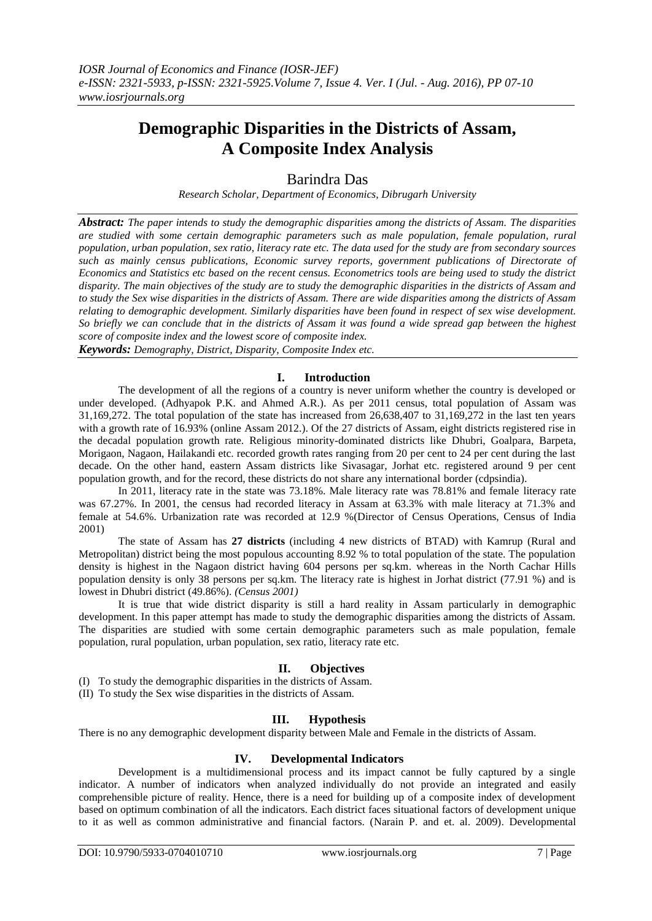# **Demographic Disparities in the Districts of Assam, A Composite Index Analysis**

## Barindra Das

*Research Scholar, Department of Economics, Dibrugarh University*

*Abstract: The paper intends to study the demographic disparities among the districts of Assam. The disparities are studied with some certain demographic parameters such as male population, female population, rural population, urban population, sex ratio, literacy rate etc. The data used for the study are from secondary sources such as mainly census publications, Economic survey reports, government publications of Directorate of Economics and Statistics etc based on the recent census. Econometrics tools are being used to study the district disparity. The main objectives of the study are to study the demographic disparities in the districts of Assam and to study the Sex wise disparities in the districts of Assam. There are wide disparities among the districts of Assam relating to demographic development. Similarly disparities have been found in respect of sex wise development. So briefly we can conclude that in the districts of Assam it was found a wide spread gap between the highest score of composite index and the lowest score of composite index.*

*Keywords: Demography, District, Disparity, Composite Index etc.*

#### **I. Introduction**

The development of all the regions of a country is never uniform whether the country is developed or under developed. (Adhyapok P.K. and Ahmed A.R.). As per 2011 census, total population of Assam was 31,169,272. The total population of the state has increased from 26,638,407 to 31,169,272 in the last ten years with a growth rate of 16.93% (online Assam 2012.). Of the 27 districts of Assam, eight districts registered rise in the decadal population growth rate. Religious minority-dominated districts like Dhubri, Goalpara, Barpeta, Morigaon, Nagaon, Hailakandi etc. recorded growth rates ranging from 20 per cent to 24 per cent during the last decade. On the other hand, eastern Assam districts like Sivasagar, Jorhat etc. registered around 9 per cent population growth, and for the record, these districts do not share any international border (cdpsindia).

In 2011, literacy rate in the state was 73.18%. Male literacy rate was 78.81% and female literacy rate was 67.27%. In 2001, the census had recorded literacy in Assam at 63.3% with male literacy at 71.3% and female at 54.6%. Urbanization rate was recorded at 12.9 %(Director of Census Operations, Census of India 2001)

The state of Assam has **27 districts** (including 4 new districts of BTAD) with Kamrup (Rural and Metropolitan) district being the most populous accounting 8.92 % to total population of the state. The population density is highest in the Nagaon district having 604 persons per sq.km. whereas in the North Cachar Hills population density is only 38 persons per sq.km. The literacy rate is highest in Jorhat district (77.91 %) and is lowest in Dhubri district (49.86%). *(Census 2001)* 

It is true that wide district disparity is still a hard reality in Assam particularly in demographic development. In this paper attempt has made to study the demographic disparities among the districts of Assam. The disparities are studied with some certain demographic parameters such as male population, female population, rural population, urban population, sex ratio, literacy rate etc.

## **II. Objectives**

(I) To study the demographic disparities in the districts of Assam.

(II) To study the Sex wise disparities in the districts of Assam.

## **III. Hypothesis**

There is no any demographic development disparity between Male and Female in the districts of Assam.

#### **IV. Developmental Indicators**

Development is a multidimensional process and its impact cannot be fully captured by a single indicator. A number of indicators when analyzed individually do not provide an integrated and easily comprehensible picture of reality. Hence, there is a need for building up of a composite index of development based on optimum combination of all the indicators. Each district faces situational factors of development unique to it as well as common administrative and financial factors. (Narain P. and et. al. 2009). Developmental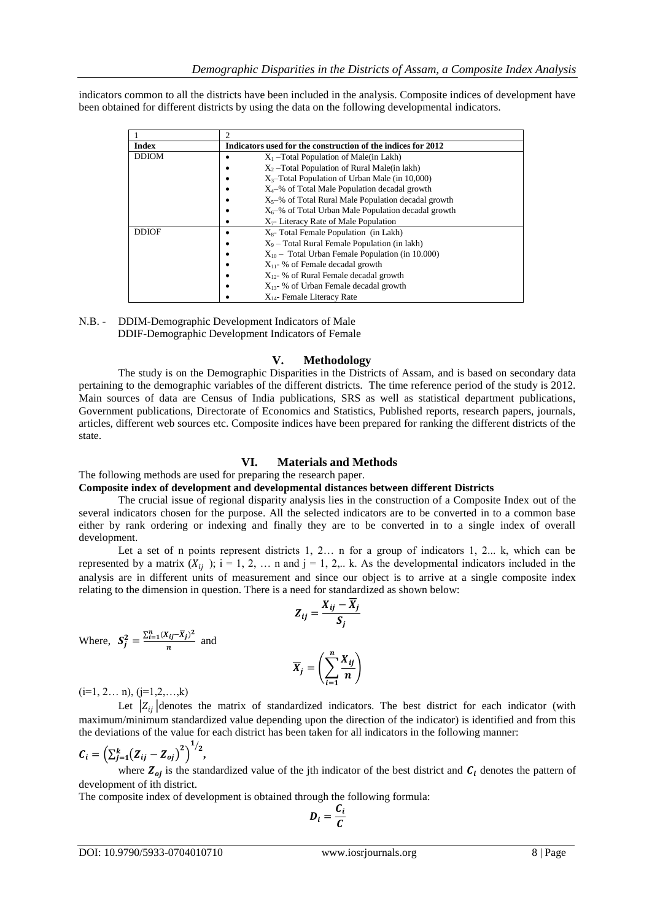indicators common to all the districts have been included in the analysis. Composite indices of development have been obtained for different districts by using the data on the following developmental indicators.

| <b>Index</b> | Indicators used for the construction of the indices for 2012 |  |  |  |  |
|--------------|--------------------------------------------------------------|--|--|--|--|
| <b>DDIOM</b> | $X_1$ –Total Population of Male(in Lakh)                     |  |  |  |  |
|              | $X_2$ –Total Population of Rural Male(in lakh)               |  |  |  |  |
|              | $X_3$ -Total Population of Urban Male (in 10,000)            |  |  |  |  |
|              | $X_4$ –% of Total Male Population decadal growth             |  |  |  |  |
|              | $X_5$ –% of Total Rural Male Population decadal growth       |  |  |  |  |
|              | $X_6$ –% of Total Urban Male Population decadal growth       |  |  |  |  |
|              | $X_7$ - Literacy Rate of Male Population                     |  |  |  |  |
| <b>DDIOF</b> | $X_s$ - Total Female Population (in Lakh)                    |  |  |  |  |
|              | $X_9$ – Total Rural Female Population (in lakh)              |  |  |  |  |
|              | $X_{10}$ – Total Urban Female Population (in 10.000)         |  |  |  |  |
|              | $X_{11}$ - % of Female decadal growth                        |  |  |  |  |
|              | $X_{12}$ - % of Rural Female decadal growth                  |  |  |  |  |
|              | $X_{13}$ - % of Urban Female decadal growth                  |  |  |  |  |
|              | $X_{14}$ - Female Literacy Rate                              |  |  |  |  |

N.B. - DDIM-Demographic Development Indicators of Male DDIF-Demographic Development Indicators of Female

#### **V. Methodology**

The study is on the Demographic Disparities in the Districts of Assam, and is based on secondary data pertaining to the demographic variables of the different districts. The time reference period of the study is 2012. Main sources of data are Census of India publications, SRS as well as statistical department publications, Government publications, Directorate of Economics and Statistics, Published reports, research papers, journals, articles, different web sources etc. Composite indices have been prepared for ranking the different districts of the state.

## **VI. Materials and Methods**

#### The following methods are used for preparing the research paper.

**Composite index of development and developmental distances between different Districts** 

The crucial issue of regional disparity analysis lies in the construction of a Composite Index out of the several indicators chosen for the purpose. All the selected indicators are to be converted in to a common base either by rank ordering or indexing and finally they are to be converted in to a single index of overall development.

Let a set of n points represent districts 1, 2… n for a group of indicators 1, 2... k, which can be represented by a matrix  $(X_{ij})$ ; i = 1, 2, ... n and j = 1, 2,.. k. As the developmental indicators included in the analysis are in different units of measurement and since our object is to arrive at a single composite index relating to the dimension in question. There is a need for standardized as shown below:

$$
Z_{ij} = \frac{X_{ij} - \overline{X}_j}{S_j}
$$

Where,  $S_j^2 = \frac{\sum_{i=1}^n (X_{ij} - \overline{X}_j)^2}{n}$  $\frac{a_0 - a_1}{n}$  and

$$
\overline{X}_j = \left(\sum_{i=1}^n \frac{X_{ij}}{n}\right)
$$

 $(i=1, 2... n), (i=1,2,...,k)$ 

Let  $|Z_{ij}|$  denotes the matrix of standardized indicators. The best district for each indicator (with maximum/minimum standardized value depending upon the direction of the indicator) is identified and from this the deviations of the value for each district has been taken for all indicators in the following manner:

$$
C_i = \left( \sum_{j=1}^k (Z_{ij} - Z_{oj})^2 \right)^{1/2},
$$

where  $Z_{oj}$  is the standardized value of the jth indicator of the best district and  $C_i$  denotes the pattern of development of ith district.

The composite index of development is obtained through the following formula:

$$
D_i = \frac{C_i}{C}
$$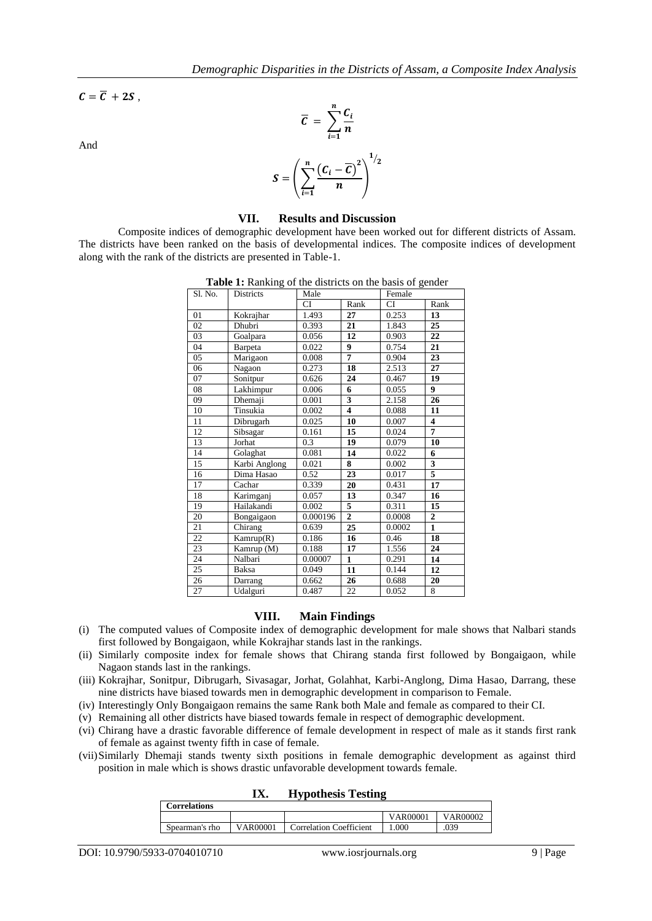$\mathcal{C} = \overline{\mathcal{C}} + 2\mathcal{S}$ ,

And

$$
\overline{C} = \sum_{i=1}^{n} \frac{C_i}{n}
$$

$$
S = \left(\sum_{i=1}^{n} \frac{(C_i - \overline{C})^2}{n}\right)^{1/2}
$$

#### **VII. Results and Discussion**

Composite indices of demographic development have been worked out for different districts of Assam. The districts have been ranked on the basis of developmental indices. The composite indices of development along with the rank of the districts are presented in Table-1.

| Sl. No. | <b>Districts</b> | Male                    |                         | Female    |                         |
|---------|------------------|-------------------------|-------------------------|-----------|-------------------------|
|         |                  | <b>CI</b><br>Rank       |                         | <b>CI</b> | Rank                    |
| 01      | Kokrajhar        | 1.493                   | 27                      | 0.253     | 13                      |
| 02      | <b>Dhubri</b>    | 0.393                   | 21                      | 1.843     | 25                      |
| 03      | Goalpara         | 0.056                   | 12                      | 0.903     | 22                      |
| 04      | <b>Barpeta</b>   | 0.022                   | $\boldsymbol{9}$        | 0.754     | 21                      |
| 05      | Marigaon         | 0.008                   | $\overline{7}$          | 0.904     | 23                      |
| 06      | Nagaon           | 0.273                   | 18                      | 2.513     | 27                      |
| 07      | Sonitpur         | 0.626                   | 24                      | 0.467     | 19                      |
| 08      | Lakhimpur        | 0.006                   | 6                       | 0.055     | 9                       |
| 09      | Dhemaji          | 0.001                   | $\overline{\mathbf{3}}$ | 2.158     | 26                      |
| 10      | Tinsukia         | 0.002                   | $\overline{\mathbf{4}}$ | 0.088     | 11                      |
| 11      | Dibrugarh        | 0.025                   | 10                      | 0.007     | $\overline{\mathbf{4}}$ |
| 12      | Sibsagar         | 0.161                   | 15                      | 0.024     | 7                       |
| 13      | Jorhat           | 0.3                     | 19                      | 0.079     | 10                      |
| 14      | Golaghat         | 0.081                   | 14                      | 0.022     | 6                       |
| 15      | Karbi Anglong    | 8<br>0.021              |                         | 0.002     | $\overline{\mathbf{3}}$ |
| 16      | Dima Hasao       | 0.52                    | 23                      |           | 5                       |
| 17      | Cachar           | 0.339                   | 20                      |           | 17                      |
| 18      | Karimganj        | 0.057<br>13             |                         | 0.347     | 16                      |
| 19      | Hailakandi       | 0.002                   | 5                       | 0.311     | 15                      |
| 20      | Bongaigaon       | 0.000196                | $\overline{2}$          | 0.0008    | $\overline{2}$          |
| 21      | Chirang          | 0.639                   | 25                      | 0.0002    | $\mathbf{1}$            |
| 22      | Kamrup(R)        | 0.186                   | 16                      | 0.46      | 18                      |
| 23      | Kamrup (M)       | 17<br>0.188             |                         | 1.556     | 24                      |
| 24      | Nalbari          | 0.00007<br>$\mathbf{1}$ |                         | 0.291     | 14                      |
| 25      | Baksa            | 0.049<br>11             |                         | 0.144     | 12                      |
| 26      | Darrang          | 0.662                   | 26                      | 0.688     | 20                      |
| 27      | Udalguri         | 0.487                   | 22                      | 0.052     | 8                       |

**Table 1:** Ranking of the districts on the basis of gender

## **VIII. Main Findings**

- (i) The computed values of Composite index of demographic development for male shows that Nalbari stands first followed by Bongaigaon, while Kokrajhar stands last in the rankings.
- (ii) Similarly composite index for female shows that Chirang standa first followed by Bongaigaon, while Nagaon stands last in the rankings.
- (iii) Kokrajhar, Sonitpur, Dibrugarh, Sivasagar, Jorhat, Golahhat, Karbi-Anglong, Dima Hasao, Darrang, these nine districts have biased towards men in demographic development in comparison to Female.
- (iv) Interestingly Only Bongaigaon remains the same Rank both Male and female as compared to their CI.
- (v) Remaining all other districts have biased towards female in respect of demographic development.
- (vi) Chirang have a drastic favorable difference of female development in respect of male as it stands first rank of female as against twenty fifth in case of female.
- (vii)Similarly Dhemaji stands twenty sixth positions in female demographic development as against third position in male which is shows drastic unfavorable development towards female.

|          | <b>Hypothesis Testing</b>      |                  |          |  |
|----------|--------------------------------|------------------|----------|--|
|          |                                |                  |          |  |
|          |                                | VAR00001         | VAR00002 |  |
| VAR00001 | <b>Correlation Coefficient</b> | 000 <sup>1</sup> | .039     |  |
|          |                                |                  |          |  |